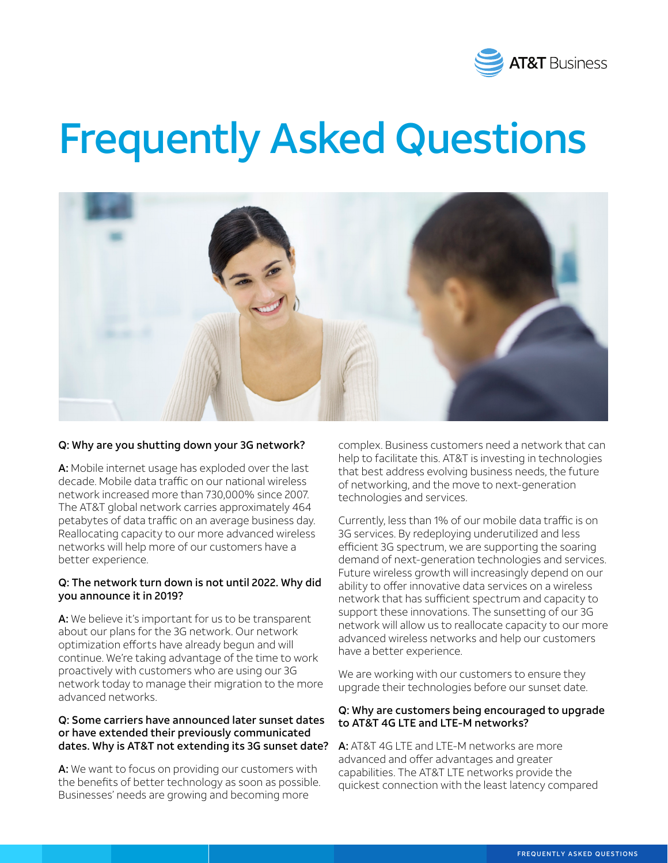

# Frequently Asked Questions



#### Q: Why are you shutting down your 3G network?

A: Mobile internet usage has exploded over the last decade. Mobile data traffic on our national wireless network increased more than 730,000% since 2007. The AT&T global network carries approximately 464 petabytes of data traffic on an average business day. Reallocating capacity to our more advanced wireless networks will help more of our customers have a better experience.

#### Q: The network turn down is not until 2022. Why did you announce it in 2019?

A: We believe it's important for us to be transparent about our plans for the 3G network. Our network optimization efforts have already begun and will continue. We're taking advantage of the time to work proactively with customers who are using our 3G network today to manage their migration to the more advanced networks.

## Q: Some carriers have announced later sunset dates or have extended their previously communicated dates. Why is AT&T not extending its 3G sunset date?

A: We want to focus on providing our customers with the benefits of better technology as soon as possible. Businesses' needs are growing and becoming more

complex. Business customers need a network that can help to facilitate this. AT&T is investing in technologies that best address evolving business needs, the future of networking, and the move to next-generation technologies and services.

Currently, less than 1% of our mobile data traffic is on 3G services. By redeploying underutilized and less efficient 3G spectrum, we are supporting the soaring demand of next-generation technologies and services. Future wireless growth will increasingly depend on our ability to offer innovative data services on a wireless network that has sufficient spectrum and capacity to support these innovations. The sunsetting of our 3G network will allow us to reallocate capacity to our more advanced wireless networks and help our customers have a better experience.

We are working with our customers to ensure they upgrade their technologies before our sunset date.

#### Q: Why are customers being encouraged to upgrade to AT&T 4G LTE and LTE-M networks?

A: AT&T 4G LTE and LTE-M networks are more advanced and offer advantages and greater capabilities. The AT&T LTE networks provide the quickest connection with the least latency compared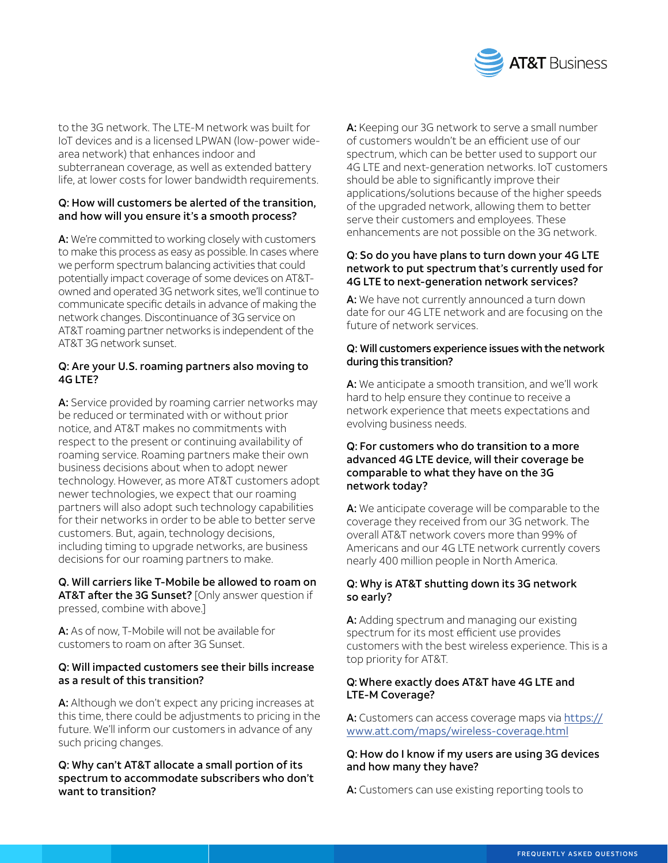![](_page_1_Picture_0.jpeg)

to the 3G network. The LTE-M network was built for IoT devices and is a licensed LPWAN (low-power widearea network) that enhances indoor and subterranean coverage, as well as extended battery life, at lower costs for lower bandwidth requirements.

# Q: How will customers be alerted of the transition, and how will you ensure it's a smooth process?

A: We're committed to working closely with customers to make this process as easy as possible. In cases where we perform spectrum balancing activities that could potentially impact coverage of some devices on AT&Towned and operated 3G network sites, we'll continue to communicate specific details in advance of making the network changes. Discontinuance of 3G service on AT&T roaming partner networks is independent of the AT&T 3G network sunset.

# Q: Are your U.S. roaming partners also moving to 4G LTE?

A: Service provided by roaming carrier networks may be reduced or terminated with or without prior notice, and AT&T makes no commitments with respect to the present or continuing availability of roaming service. Roaming partners make their own business decisions about when to adopt newer technology. However, as more AT&T customers adopt newer technologies, we expect that our roaming partners will also adopt such technology capabilities for their networks in order to be able to better serve customers. But, again, technology decisions, including timing to upgrade networks, are business decisions for our roaming partners to make.

# Q. Will carriers like T-Mobile be allowed to roam on AT&T after the 3G Sunset? [Only answer question if pressed, combine with above.]

A: As of now. T-Mobile will not be available for customers to roam on after 3G Sunset.

# Q: Will impacted customers see their bills increase as a result of this transition?

A: Although we don't expect any pricing increases at this time, there could be adjustments to pricing in the future. We'll inform our customers in advance of any such pricing changes.

# Q: Why can't AT&T allocate a small portion of its spectrum to accommodate subscribers who don't want to transition?

A: Keeping our 3G network to serve a small number of customers wouldn't be an efficient use of our spectrum, which can be better used to support our 4G LTE and next-generation networks. IoT customers should be able to significantly improve their applications/solutions because of the higher speeds of the upgraded network, allowing them to better serve their customers and employees. These enhancements are not possible on the 3G network.

## Q: So do you have plans to turn down your 4G LTE network to put spectrum that's currently used for 4G LTE to next-generation network services?

A: We have not currently announced a turn down date for our 4G LTE network and are focusing on the future of network services.

# Q: Will customers experience issues with the network during this transition?

A: We anticipate a smooth transition, and we'll work hard to help ensure they continue to receive a network experience that meets expectations and evolving business needs.

## Q: For customers who do transition to a more advanced 4G LTE device, will their coverage be comparable to what they have on the 3G network today?

A: We anticipate coverage will be comparable to the coverage they received from our 3G network. The overall AT&T network covers more than 99% of Americans and our 4G LTE network currently covers nearly 400 million people in North America.

# Q: Why is AT&T shutting down its 3G network so early?

A: Adding spectrum and managing our existing spectrum for its most efficient use provides customers with the best wireless experience. This is a top priority for AT&T.

# Q: Where exactly does AT&T have 4G LTE and LTE-M Coverage?

A: Customers can access coverage maps via [https://](https://www.att.com/maps/wireless-coverage.html) [www.att.com/maps/wireless-coverage.html](https://www.att.com/maps/wireless-coverage.html)

#### Q: How do I know if my users are using 3G devices and how many they have?

A: Customers can use existing reporting tools to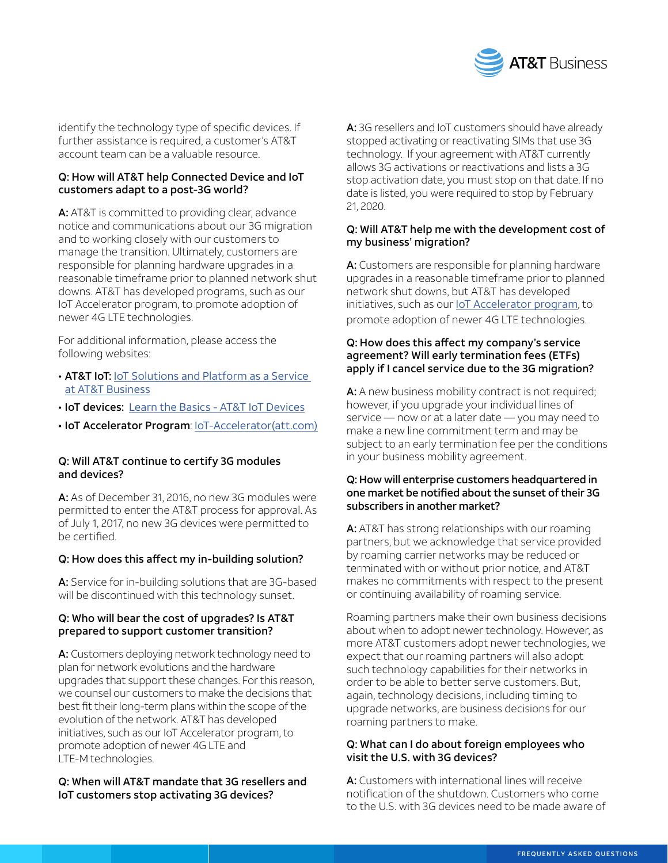![](_page_2_Picture_0.jpeg)

identify the technology type of specific devices. If further assistance is required, a customer's AT&T account team can be a valuable resource.

#### Q: How will AT&T help Connected Device and IoT customers adapt to a post-3G world?

A: AT&T is committed to providing clear, advance notice and communications about our 3G migration and to working closely with our customers to manage the transition. Ultimately, customers are responsible for planning hardware upgrades in a reasonable timeframe prior to planned network shut downs. AT&T has developed programs, such as our IoT Accelerator program, to promote adoption of newer 4G LTE technologies.

For additional information, please access the following websites:

- AT&T IoT: IoT Solutions and Platform as a Service [at AT&T Business](https://www.business.att.com/portfolios/internet-of-things.html?source=EBBZ0000000000aBU&wtExtndSource=IOT&LNS=VN_IT_IOT_IOT_0518)
- IoT devices: [Learn the Basics AT&T IoT Devices](https://iotdevices.att.com/basics.aspx)
- IoT Accelerator Program: [IoT-Accelerator\(att.com\)](https://iotdevices.att.com/iot-accelerator.aspx)

# Q: Will AT&T continue to certify 3G modules and devices?

A: As of December 31, 2016, no new 3G modules were permitted to enter the AT&T process for approval. As of July 1, 2017, no new 3G devices were permitted to be certified.

# Q: How does this affect my in-building solution?

A: Service for in-building solutions that are 3G-based will be discontinued with this technology sunset.

#### Q: Who will bear the cost of upgrades? Is AT&T prepared to support customer transition?

A: Customers deploying network technology need to plan for network evolutions and the hardware upgrades that support these changes. For this reason, we counsel our customers to make the decisions that best fit their long-term plans within the scope of the evolution of the network. AT&T has developed initiatives, such as our IoT Accelerator program, to promote adoption of newer 4G LTE and LTE-M technologies.

Q: When will AT&T mandate that 3G resellers and IoT customers stop activating 3G devices?

A: 3G resellers and IoT customers should have already stopped activating or reactivating SIMs that use 3G technology. If your agreement with AT&T currently allows 3G activations or reactivations and lists a 3G stop activation date, you must stop on that date. If no date is listed, you were required to stop by February 21, 2020.

## Q: Will AT&T help me with the development cost of my business' migration?

A: Customers are responsible for planning hardware upgrades in a reasonable timeframe prior to planned network shut downs, but AT&T has developed initiatives, such as our [IoT Accelerator program](https://iotdevices.att.com/iot-accelerator.aspx), to promote adoption of newer 4G LTE technologies.

#### Q: How does this affect my company's service agreement? Will early termination fees (ETFs) apply if I cancel service due to the 3G migration?

A: A new business mobility contract is not required; however, if you upgrade your individual lines of service — now or at a later date — you may need to make a new line commitment term and may be subject to an early termination fee per the conditions in your business mobility agreement.

#### Q: How will enterprise customers headquartered in one market be notified about the sunset of their 3G subscribers in another market?

A: AT&T has strong relationships with our roaming partners, but we acknowledge that service provided by roaming carrier networks may be reduced or terminated with or without prior notice, and AT&T makes no commitments with respect to the present or continuing availability of roaming service.

Roaming partners make their own business decisions about when to adopt newer technology. However, as more AT&T customers adopt newer technologies, we expect that our roaming partners will also adopt such technology capabilities for their networks in order to be able to better serve customers. But, again, technology decisions, including timing to upgrade networks, are business decisions for our roaming partners to make.

#### Q: What can I do about foreign employees who visit the U.S. with 3G devices?

A: Customers with international lines will receive notification of the shutdown. Customers who come to the U.S. with 3G devices need to be made aware of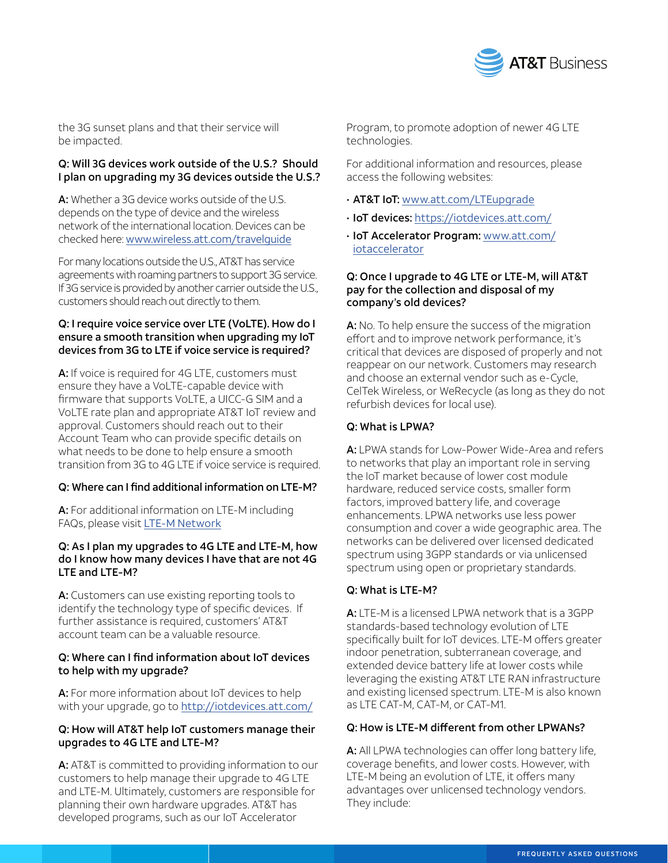![](_page_3_Picture_0.jpeg)

the 3G sunset plans and that their service will be impacted.

# Q: Will 3G devices work outside of the U.S.? Should I plan on upgrading my 3G devices outside the U.S.?

A: Whether a 3G device works outside of the U.S. depends on the type of device and the wireless network of the international location. Devices can be checked here: [www.wireless.att.com/travelguide](http://www.wireless.att.com/travelguide)

For many locations outside the U.S., AT&T has service agreements with roaming partners to support 3G service. If 3G service is provided by another carrier outside the U.S., customers should reach out directly to them.

# Q: I require voice service over LTE (VoLTE). How do I ensure a smooth transition when upgrading my IoT devices from 3G to LTE if voice service is required?

A: If voice is required for 4G LTE, customers must ensure they have a VoLTE-capable device with firmware that supports VoLTE, a UICC-G SIM and a VoLTE rate plan and appropriate AT&T IoT review and approval. Customers should reach out to their Account Team who can provide specific details on what needs to be done to help ensure a smooth transition from 3G to 4G LTE if voice service is required.

# Q: Where can I find additional information on LTE-M?

A: For additional information on LTE-M including FAQs, please visit [LTE-M Network](https://www.business.att.com/products/lpwa.html)

# Q: As I plan my upgrades to 4G LTE and LTE-M, how do I know how many devices I have that are not 4G LTE and LTE-M?

A: Customers can use existing reporting tools to identify the technology type of specific devices. If further assistance is required, customers' AT&T account team can be a valuable resource.

# Q: Where can I find information about IoT devices to help with my upgrade?

A: For more information about IoT devices to help with your upgrade, go to <http://iotdevices.att.com/>

# Q: How will AT&T help IoT customers manage their upgrades to 4G LTE and LTE-M?

A: AT&T is committed to providing information to our customers to help manage their upgrade to 4G LTE and LTE-M. Ultimately, customers are responsible for planning their own hardware upgrades. AT&T has developed programs, such as our IoT Accelerator

Program, to promote adoption of newer 4G LTE technologies.

For additional information and resources, please access the following websites:

- AT&T IoT: [www.att.com/LTEupgrade](http://www.att.com/LTEupgrade)
- IoT devices: <https://iotdevices.att.com/>
- IoT Accelerator Program: [www.att.com/](https://iotdevices.att.com/iot-accelerator.aspx) [iotaccelerator](https://iotdevices.att.com/iot-accelerator.aspx)

#### Q: Once I upgrade to 4G LTE or LTE-M, will AT&T pay for the collection and disposal of my company's old devices?

A: No. To help ensure the success of the migration effort and to improve network performance, it's critical that devices are disposed of properly and not reappear on our network. Customers may research and choose an external vendor such as e-Cycle, CelTek Wireless, or WeRecycle (as long as they do not refurbish devices for local use).

# Q: What is LPWA?

A: LPWA stands for Low-Power Wide-Area and refers to networks that play an important role in serving the IoT market because of lower cost module hardware, reduced service costs, smaller form factors, improved battery life, and coverage enhancements. LPWA networks use less power consumption and cover a wide geographic area. The networks can be delivered over licensed dedicated spectrum using 3GPP standards or via unlicensed spectrum using open or proprietary standards.

# Q: What is LTE-M?

A: LTE-M is a licensed LPWA network that is a 3GPP standards-based technology evolution of LTE specifically built for IoT devices. LTE-M offers greater indoor penetration, subterranean coverage, and extended device battery life at lower costs while leveraging the existing AT&T LTE RAN infrastructure and existing licensed spectrum. LTE-M is also known as LTE CAT-M, CAT-M, or CAT-M1.

# Q: How is LTE-M different from other LPWANs?

A: All LPWA technologies can offer long battery life, coverage benefits, and lower costs. However, with LTE-M being an evolution of LTE, it offers many advantages over unlicensed technology vendors. They include: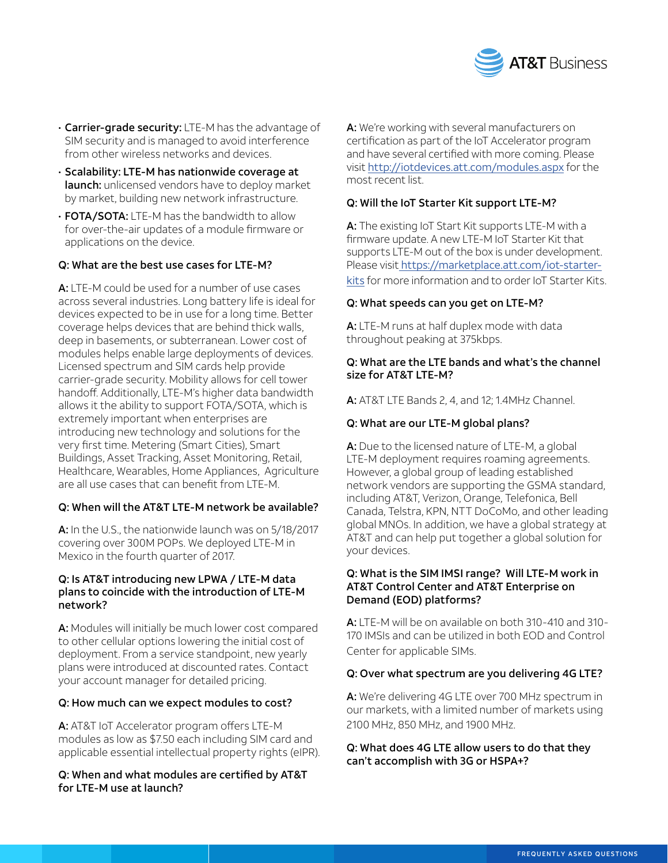![](_page_4_Picture_0.jpeg)

- Carrier-grade security: LTE-M has the advantage of SIM security and is managed to avoid interference from other wireless networks and devices.
- Scalability: LTE-M has nationwide coverage at launch: unlicensed vendors have to deploy market by market, building new network infrastructure.
- FOTA/SOTA: LTE-M has the bandwidth to allow for over-the-air updates of a module firmware or applications on the device.

#### Q: What are the best use cases for LTE-M?

A: LTE-M could be used for a number of use cases across several industries. Long battery life is ideal for devices expected to be in use for a long time. Better coverage helps devices that are behind thick walls, deep in basements, or subterranean. Lower cost of modules helps enable large deployments of devices. Licensed spectrum and SIM cards help provide carrier-grade security. Mobility allows for cell tower handoff. Additionally, LTE-M's higher data bandwidth allows it the ability to support FOTA/SOTA, which is extremely important when enterprises are introducing new technology and solutions for the very first time. Metering (Smart Cities), Smart Buildings, Asset Tracking, Asset Monitoring, Retail, Healthcare, Wearables, Home Appliances, Agriculture are all use cases that can benefit from LTF-M.

#### Q: When will the AT&T LTE-M network be available?

A: In the U.S., the nationwide launch was on 5/18/2017 covering over 300M POPs. We deployed LTE-M in Mexico in the fourth quarter of 2017.

#### Q: Is AT&T introducing new LPWA / LTE-M data plans to coincide with the introduction of LTE-M network?

A: Modules will initially be much lower cost compared to other cellular options lowering the initial cost of deployment. From a service standpoint, new yearly plans were introduced at discounted rates. Contact your account manager for detailed pricing.

# Q: How much can we expect modules to cost?

A: AT&T IoT Accelerator program offers LTE-M modules as low as \$7.50 each including SIM card and applicable essential intellectual property rights (eIPR).

# Q: When and what modules are certified by AT&T for LTE-M use at launch?

A: We're working with several manufacturers on certification as part of the IoT Accelerator program and have several certified with more coming. Please visit <http://iotdevices.att.com/modules.aspx> for the most recent list.

# Q: Will the IoT Starter Kit support LTE-M?

A: The existing IoT Start Kit supports LTE-M with a firmware update. A new LTE-M IoT Starter Kit that supports LTE-M out of the box is under development. Please visit [https://marketplace.att.com/iot-starter-](https://marketplace.att.com/iot-starter-kits)

[kits](https://marketplace.att.com/iot-starter-kits) for more information and to order IoT Starter Kits.

#### Q: What speeds can you get on LTE-M?

A: LTE-M runs at half duplex mode with data throughout peaking at 375kbps.

#### Q: What are the LTE bands and what's the channel size for AT&T LTE-M?

A: AT&T LTE Bands 2, 4, and 12; 1.4MHz Channel.

#### Q: What are our LTE-M global plans?

A: Due to the licensed nature of LTE-M, a global LTE-M deployment requires roaming agreements. However, a global group of leading established network vendors are supporting the GSMA standard, including AT&T, Verizon, Orange, Telefonica, Bell Canada, Telstra, KPN, NTT DoCoMo, and other leading global MNOs. In addition, we have a global strategy at AT&T and can help put together a global solution for your devices.

#### Q: What is the SIM IMSI range? Will LTE-M work in AT&T Control Center and AT&T Enterprise on Demand (EOD) platforms?

A: LTE-M will be on available on both 310-410 and 310- 170 IMSIs and can be utilized in both EOD and Control Center for applicable SIMs.

#### Q: Over what spectrum are you delivering 4G LTE?

A: We're delivering 4G LTE over 700 MHz spectrum in our markets, with a limited number of markets using 2100 MHz, 850 MHz, and 1900 MHz.

# Q: What does 4G LTE allow users to do that they can't accomplish with 3G or HSPA+?